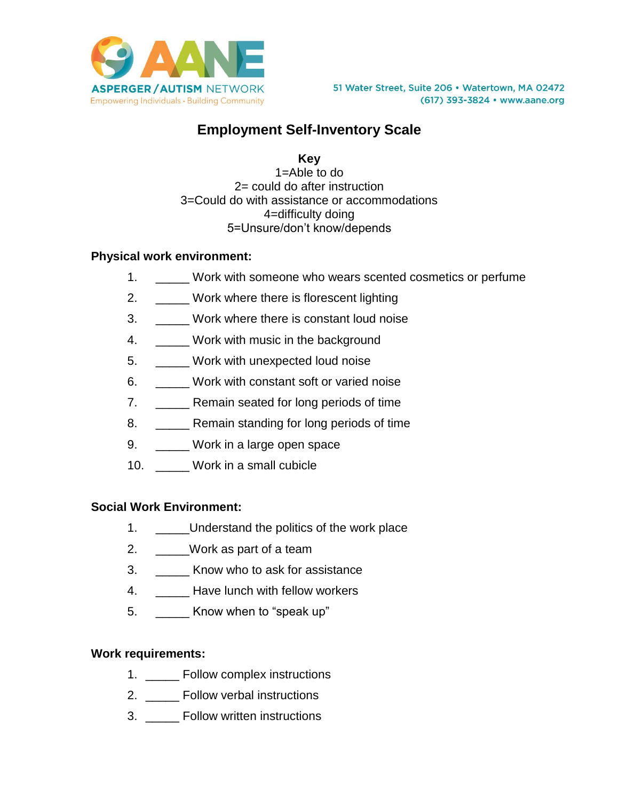

# **Employment Self-Inventory Scale**

**Key**

1=Able to do 2= could do after instruction 3=Could do with assistance or accommodations 4=difficulty doing 5=Unsure/don't know/depends

## **Physical work environment:**

- 1. \_\_\_\_\_ Work with someone who wears scented cosmetics or perfume
- 2. Work where there is florescent lighting
- 3. \_\_\_\_\_ Work where there is constant loud noise
- 4. Work with music in the background
- 5. \_\_\_\_\_ Work with unexpected loud noise
- 6. Work with constant soft or varied noise
- 7. **\_\_\_\_\_** Remain seated for long periods of time
- 8. **\_\_\_\_\_** Remain standing for long periods of time
- 9. \_\_\_\_\_ Work in a large open space
- 10. Work in a small cubicle

### **Social Work Environment:**

- 1. \_\_\_\_\_\_Understand the politics of the work place
- 2. \_\_\_\_\_Work as part of a team
- 3. \_\_\_\_\_ Know who to ask for assistance
- 4. \_\_\_\_\_ Have lunch with fellow workers
- 5. **Know when to "speak up"**

### **Work requirements:**

- 1. \_\_\_\_\_ Follow complex instructions
- 2. **Exercise Follow verbal instructions**
- 3. **Exercise Follow written instructions**